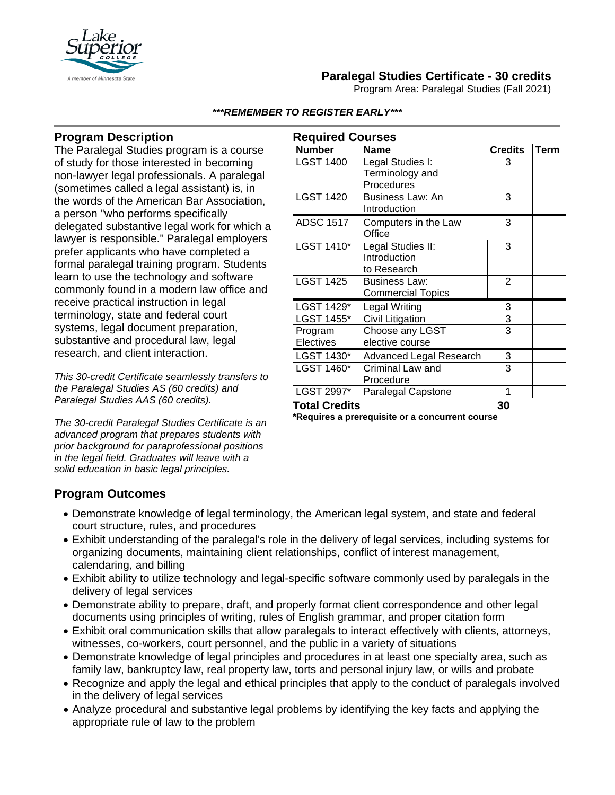

# **Paralegal Studies Certificate - 30 credits**

Program Area: Paralegal Studies (Fall 2021)

#### *\*\*\*REMEMBER TO REGISTER EARLY\*\*\**

## **Program Description**

The Paralegal Studies program is a course of study for those interested in becoming non-lawyer legal professionals. A paralegal (sometimes called a legal assistant) is, in the words of the American Bar Association, a person "who performs specifically delegated substantive legal work for which a lawyer is responsible." Paralegal employers prefer applicants who have completed a formal paralegal training program. Students learn to use the technology and software commonly found in a modern law office and receive practical instruction in legal terminology, state and federal court systems, legal document preparation, substantive and procedural law, legal research, and client interaction.

*This 30-credit Certificate seamlessly transfers to the Paralegal Studies AS (60 credits) and Paralegal Studies AAS (60 credits).*

*The 30-credit Paralegal Studies Certificate is an advanced program that prepares students with prior background for paraprofessional positions in the legal field. Graduates will leave with a solid education in basic legal principles.*

| <b>Required Courses</b> |                          |                |      |
|-------------------------|--------------------------|----------------|------|
| <b>Number</b>           | <b>Name</b>              | <b>Credits</b> | Term |
| <b>LGST 1400</b>        | Legal Studies I:         | 3              |      |
|                         | Terminology and          |                |      |
|                         | Procedures               |                |      |
| <b>LGST 1420</b>        | <b>Business Law: An</b>  | 3              |      |
|                         | Introduction             |                |      |
| <b>ADSC 1517</b>        | Computers in the Law     | 3              |      |
|                         | Office                   |                |      |
| LGST 1410*              | Legal Studies II:        | 3              |      |
|                         | Introduction             |                |      |
|                         | to Research              |                |      |
| <b>LGST 1425</b>        | Business Law:            | $\overline{2}$ |      |
|                         | <b>Commercial Topics</b> |                |      |
| LGST 1429*              | Legal Writing            | 3              |      |
| LGST 1455*              | Civil Litigation         | 3              |      |
| Program                 | Choose any LGST          | 3              |      |
| Electives               | elective course          |                |      |
| LGST 1430*              | Advanced Legal Research  | 3              |      |
| LGST 1460*              | Criminal Law and         | 3              |      |
|                         | Procedure                |                |      |
| LGST 2997*              | Paralegal Capstone       | 1              |      |
| <b>Total Credits</b>    |                          | 30             |      |

**\*Requires a prerequisite or a concurrent course**

### **Program Outcomes**

- Demonstrate knowledge of legal terminology, the American legal system, and state and federal court structure, rules, and procedures
- Exhibit understanding of the paralegal's role in the delivery of legal services, including systems for organizing documents, maintaining client relationships, conflict of interest management, calendaring, and billing
- Exhibit ability to utilize technology and legal-specific software commonly used by paralegals in the delivery of legal services
- Demonstrate ability to prepare, draft, and properly format client correspondence and other legal documents using principles of writing, rules of English grammar, and proper citation form
- Exhibit oral communication skills that allow paralegals to interact effectively with clients, attorneys, witnesses, co-workers, court personnel, and the public in a variety of situations
- Demonstrate knowledge of legal principles and procedures in at least one specialty area, such as family law, bankruptcy law, real property law, torts and personal injury law, or wills and probate
- Recognize and apply the legal and ethical principles that apply to the conduct of paralegals involved in the delivery of legal services
- Analyze procedural and substantive legal problems by identifying the key facts and applying the appropriate rule of law to the problem